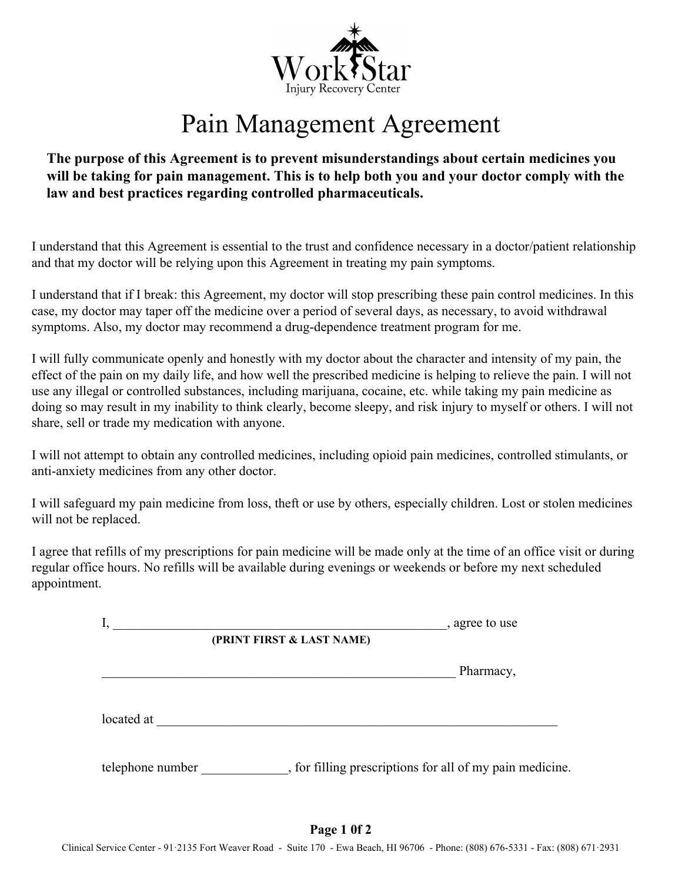

## Pain Management Agreement

## **The purpose of this Agreement is to prevent misunderstandings about certain medicines you will be taking for pain management. This is to help both you and your doctor comply with the law and best practices regarding controlled pharmaceuticals.**

I understand that this Agreement is essential to the trust and confidence necessary in a doctor/patient relationship and that my doctor will be relying upon this Agreement in treating my pain symptoms.

I understand that if I break: this Agreement, my doctor will stop prescribing these pain control medicines. In this case, my doctor may taper off the medicine over a period of several days, as necessary, to avoid withdrawal symptoms. Also, my doctor may recommend a drug-dependence treatment program for me.

I will fully communicate openly and honestly with my doctor about the character and intensity of my pain, the effect of the pain on my daily life, and how well the prescribed medicine is helping to relieve the pain. I will not use any illegal or controlled substances, including marijuana, cocaine, etc. while taking my pain medicine as doing so may result in my inability to think clearly, become sleepy, and risk injury to myself or others. I will not share, sell or trade my medication with anyone.

I will not attempt to obtain any controlled medicines, including opioid pain medicines, controlled stimulants, or anti-anxiety medicines from any other doctor.

I will safeguard my pain medicine from loss, theft or use by others, especially children. Lost or stolen medicines will not be replaced.

I agree that refills of my prescriptions for pain medicine will be made only at the time of an office visit or during regular office hours. No refills will be available during evenings or weekends or before my next scheduled appointment.

| , agree to use                                           |
|----------------------------------------------------------|
|                                                          |
| Pharmacy,                                                |
|                                                          |
|                                                          |
| , for filling prescriptions for all of my pain medicine. |
|                                                          |